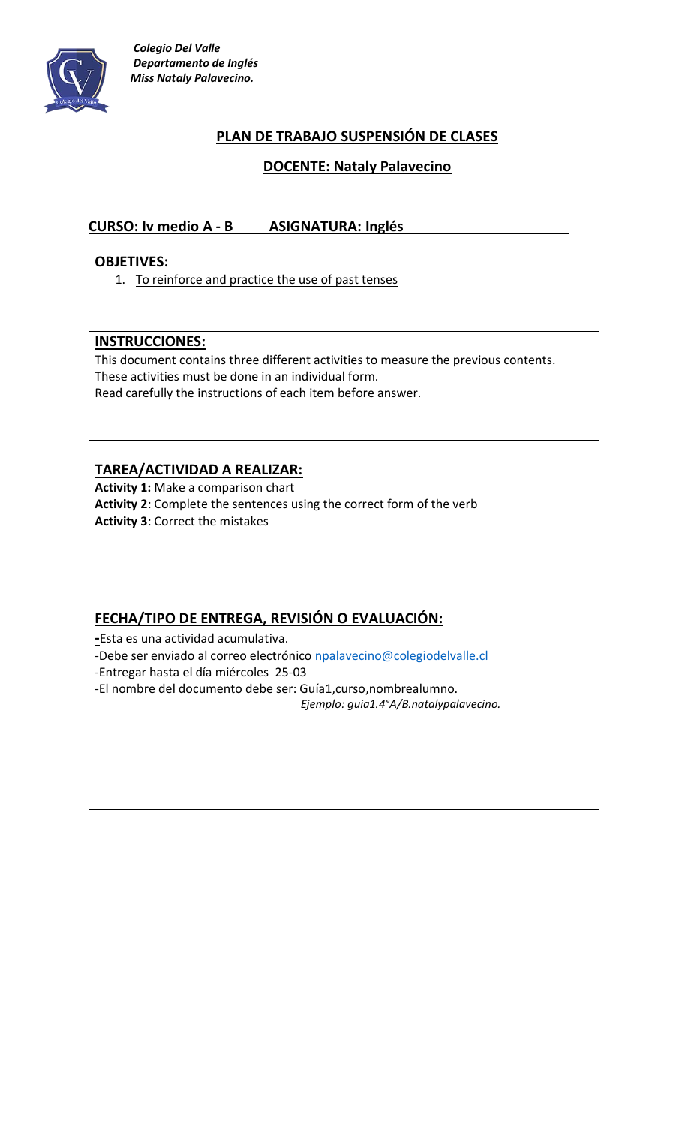

# **PLAN DE TRABAJO SUSPENSIÓN DE CLASES**

### **DOCENTE: Nataly Palavecino**

### **CURSO: Iv medio A - B ASIGNATURA: Inglés**

#### **OBJETIVES:**

1. To reinforce and practice the use of past tenses

#### **INSTRUCCIONES:**

This document contains three different activities to measure the previous contents. These activities must be done in an individual form. Read carefully the instructions of each item before answer.

# **TAREA/ACTIVIDAD A REALIZAR:**

**Activity 1:** Make a comparison chart **Activity 2**: Complete the sentences using the correct form of the verb **Activity 3**: Correct the mistakes

# **FECHA/TIPO DE ENTREGA, REVISIÓN O EVALUACIÓN:**

**-**Esta es una actividad acumulativa. -Debe ser enviado al correo electrónico [npalavecino@colegiodelvalle.cl](mailto:npalavecino@colegiodelvalle.cl) -Entregar hasta el día miércoles 25-03 -El nombre del documento debe ser: Guía1,curso,nombrealumno. *Ejemplo: guia1.4°A/B.natalypalavecino.*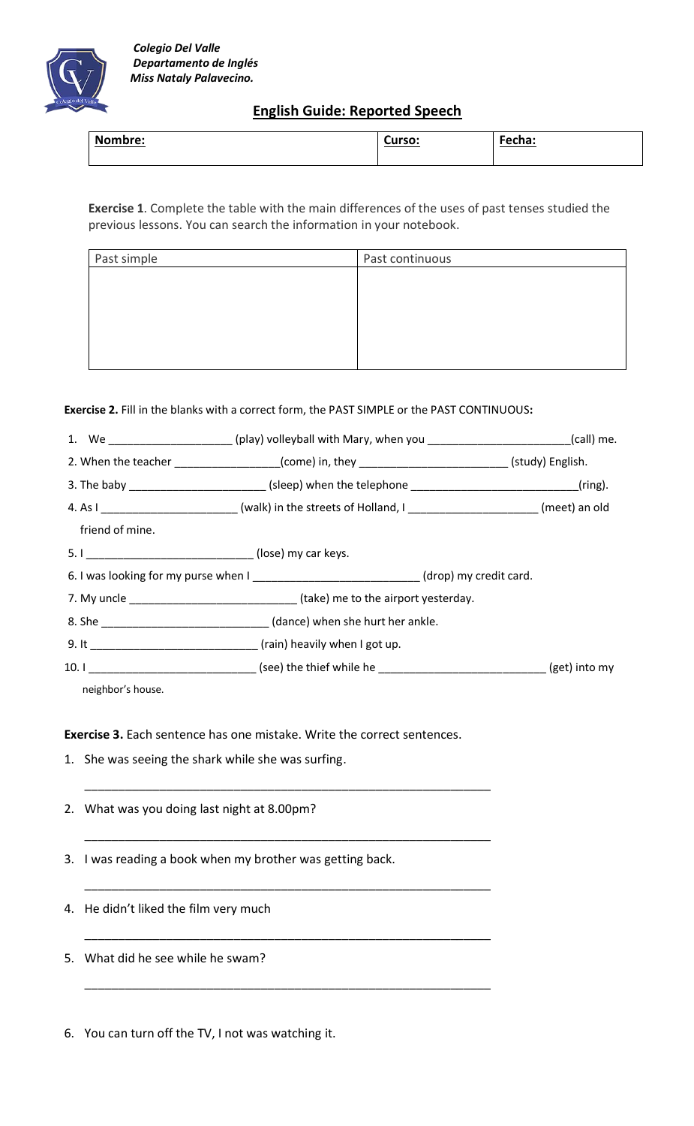

### **English Guide: Reported Speech**

| <u>Nombre:</u> | Curso: | Fecha: |
|----------------|--------|--------|

**Exercise 1**. Complete the table with the main differences of the uses of past tenses studied the previous lessons. You can search the information in your notebook.

| Past continuous |
|-----------------|
|                 |
|                 |
|                 |
|                 |
|                 |
|                 |

**Exercise 2.** Fill in the blanks with a correct form, the PAST SIMPLE or the PAST CONTINUOUS**:**

|                   | 1. We ____________________(play) volleyball with Mary, when you _______________________(call) me.           |  |
|-------------------|-------------------------------------------------------------------------------------------------------------|--|
|                   | 2. When the teacher _________________(come) in, they __________________________(study) English.             |  |
|                   | 3. The baby ___________________________(sleep) when the telephone _______________________________(ring).    |  |
|                   | 4. As I ___________________________(walk) in the streets of Holland, I _______________________(meet) an old |  |
| friend of mine.   |                                                                                                             |  |
|                   |                                                                                                             |  |
|                   | 6. I was looking for my purse when I _____________________________(drop) my credit card.                    |  |
|                   |                                                                                                             |  |
|                   |                                                                                                             |  |
|                   |                                                                                                             |  |
|                   |                                                                                                             |  |
| neighbor's house. |                                                                                                             |  |

**Exercise 3.** Each sentence has one mistake. Write the correct sentences.

\_\_\_\_\_\_\_\_\_\_\_\_\_\_\_\_\_\_\_\_\_\_\_\_\_\_\_\_\_\_\_\_\_\_\_\_\_\_\_\_\_\_\_\_\_\_\_\_\_\_\_\_\_\_\_\_\_\_\_\_

\_\_\_\_\_\_\_\_\_\_\_\_\_\_\_\_\_\_\_\_\_\_\_\_\_\_\_\_\_\_\_\_\_\_\_\_\_\_\_\_\_\_\_\_\_\_\_\_\_\_\_\_\_\_\_\_\_\_\_\_

\_\_\_\_\_\_\_\_\_\_\_\_\_\_\_\_\_\_\_\_\_\_\_\_\_\_\_\_\_\_\_\_\_\_\_\_\_\_\_\_\_\_\_\_\_\_\_\_\_\_\_\_\_\_\_\_\_\_\_\_

\_\_\_\_\_\_\_\_\_\_\_\_\_\_\_\_\_\_\_\_\_\_\_\_\_\_\_\_\_\_\_\_\_\_\_\_\_\_\_\_\_\_\_\_\_\_\_\_\_\_\_\_\_\_\_\_\_\_\_\_

\_\_\_\_\_\_\_\_\_\_\_\_\_\_\_\_\_\_\_\_\_\_\_\_\_\_\_\_\_\_\_\_\_\_\_\_\_\_\_\_\_\_\_\_\_\_\_\_\_\_\_\_\_\_\_\_\_\_\_\_

- 1. She was seeing the shark while she was surfing.
- 2. What was you doing last night at 8.00pm?

3. I was reading a book when my brother was getting back.

4. He didn't liked the film very much

5. What did he see while he swam?

6. You can turn off the TV, I not was watching it.